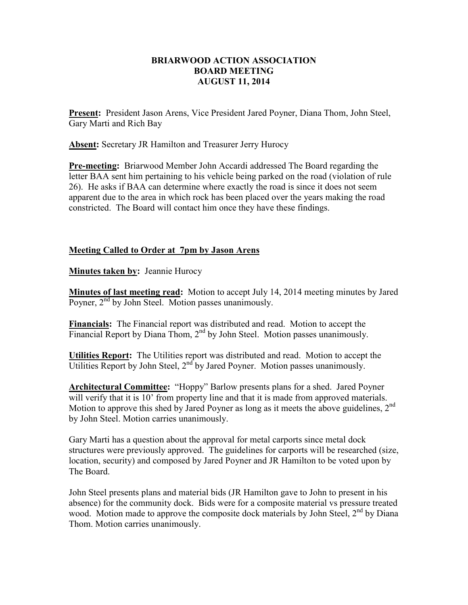## **BRIARWOOD ACTION ASSOCIATION BOARD MEETING AUGUST 11, 2014**

**Present:** President Jason Arens, Vice President Jared Poyner, Diana Thom, John Steel, Gary Marti and Rich Bay

**Absent:** Secretary JR Hamilton and Treasurer Jerry Hurocy

**Pre-meeting:** Briarwood Member John Accardi addressed The Board regarding the letter BAA sent him pertaining to his vehicle being parked on the road (violation of rule 26). He asks if BAA can determine where exactly the road is since it does not seem apparent due to the area in which rock has been placed over the years making the road constricted. The Board will contact him once they have these findings.

## **Meeting Called to Order at 7pm by Jason Arens**

**Minutes taken by:** Jeannie Hurocy

**Minutes of last meeting read:** Motion to accept July 14, 2014 meeting minutes by Jared Poyner, 2<sup>nd</sup> by John Steel. Motion passes unanimously.

**Financials:** The Financial report was distributed and read. Motion to accept the Financial Report by Diana Thom,  $2<sup>nd</sup>$  by John Steel. Motion passes unanimously.

**Utilities Report:** The Utilities report was distributed and read. Motion to accept the Utilities Report by John Steel,  $2<sup>nd</sup>$  by Jared Poyner. Motion passes unanimously.

**Architectural Committee:** "Hoppy" Barlow presents plans for a shed. Jared Poyner will verify that it is 10<sup>'</sup> from property line and that it is made from approved materials. Motion to approve this shed by Jared Poyner as long as it meets the above guidelines, 2<sup>nd</sup> by John Steel. Motion carries unanimously.

Gary Marti has a question about the approval for metal carports since metal dock structures were previously approved. The guidelines for carports will be researched (size, location, security) and composed by Jared Poyner and JR Hamilton to be voted upon by The Board.

John Steel presents plans and material bids (JR Hamilton gave to John to present in his absence) for the community dock. Bids were for a composite material vs pressure treated wood. Motion made to approve the composite dock materials by John Steel,  $2^{nd}$  by Diana Thom. Motion carries unanimously.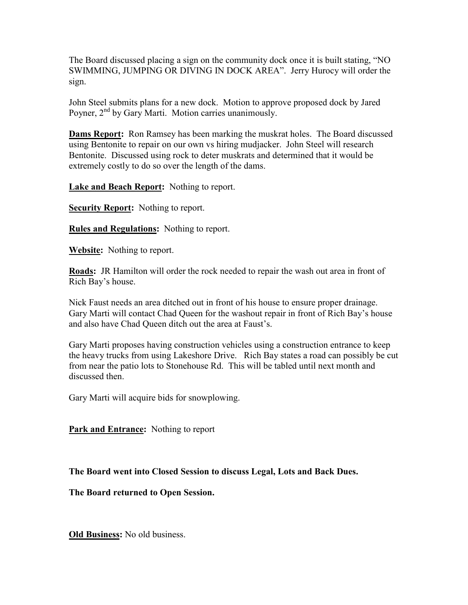The Board discussed placing a sign on the community dock once it is built stating, "NO SWIMMING, JUMPING OR DIVING IN DOCK AREA". Jerry Hurocy will order the sign.

John Steel submits plans for a new dock. Motion to approve proposed dock by Jared Poyner,  $2<sup>nd</sup>$  by Gary Marti. Motion carries unanimously.

**Dams Report:** Ron Ramsey has been marking the muskrat holes. The Board discussed using Bentonite to repair on our own vs hiring mudjacker. John Steel will research Bentonite. Discussed using rock to deter muskrats and determined that it would be extremely costly to do so over the length of the dams.

**Lake and Beach Report:** Nothing to report.

**Security Report:** Nothing to report.

**Rules and Regulations:** Nothing to report.

**Website:** Nothing to report.

**Roads:** JR Hamilton will order the rock needed to repair the wash out area in front of Rich Bay's house.

Nick Faust needs an area ditched out in front of his house to ensure proper drainage. Gary Marti will contact Chad Queen for the washout repair in front of Rich Bay's house and also have Chad Queen ditch out the area at Faust's.

Gary Marti proposes having construction vehicles using a construction entrance to keep the heavy trucks from using Lakeshore Drive. Rich Bay states a road can possibly be cut from near the patio lots to Stonehouse Rd. This will be tabled until next month and discussed then

Gary Marti will acquire bids for snowplowing.

**Park and Entrance:** Nothing to report

**The Board went into Closed Session to discuss Legal, Lots and Back Dues.** 

**The Board returned to Open Session.** 

**Old Business:** No old business.